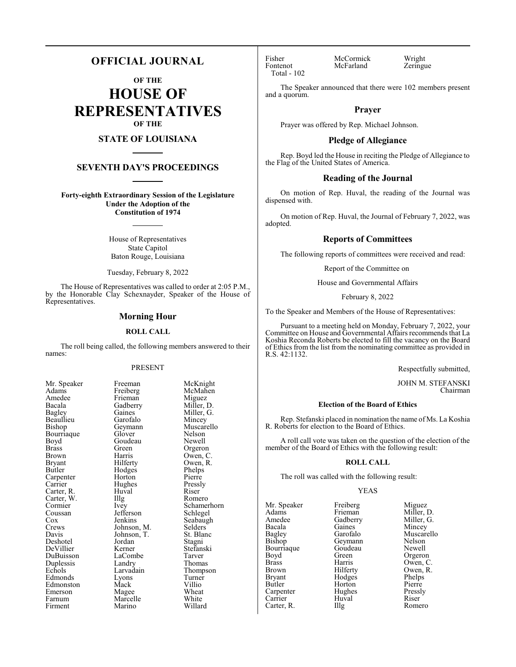### **OFFICIAL JOURNAL**

**OF THE**

**HOUSE OF REPRESENTATIVES OF THE**

#### **STATE OF LOUISIANA**

#### **SEVENTH DAY'S PROCEEDINGS**

**Forty-eighth Extraordinary Session of the Legislature Under the Adoption of the Constitution of 1974**

> House of Representatives State Capitol Baton Rouge, Louisiana

Tuesday, February 8, 2022

The House of Representatives was called to order at 2:05 P.M., by the Honorable Clay Schexnayder, Speaker of the House of Representatives.

#### **Morning Hour**

#### **ROLL CALL**

The roll being called, the following members answered to their names:

#### PRESENT

McMahen<br>Miguez

Miller, G.<br>Mincey

Muscarello<br>Nelson

Owen, R.<br>Phelps

Schamerhorn<br>Schlegel

Seabaugh<br>Selders

Stefanski<br>Tarver

Thompson<br>Turner

| Mr. Speaker           |
|-----------------------|
| Adams                 |
| Amedee                |
| Bacala                |
| <b>Bagley</b>         |
| Beaullieu             |
| Bishop                |
| Bourriaque            |
| Boyd                  |
| <b>Brass</b>          |
| <b>Brown</b>          |
| Bryant                |
| <b>Butler</b>         |
| Carpenter<br>Carrier  |
|                       |
| Carter, R.            |
| Carter, W.<br>Cormier |
|                       |
| Coussan               |
|                       |
| Cox<br>Cox            |
| Davis                 |
| Deshotel              |
| DeVillier             |
| DuBuisson             |
| Duplessis             |
| Echols                |
| Edmonds               |
| Edmonston             |
| Emerson               |
| Farnum                |
| Firment               |

Freeman McKnight<br>Freiberg McMahen Frieman<br>Gadberry Gadberry Miller, D.<br>Gaines Miller, G. Garofalo<br>Geymann Glover Nelson<br>Goudeau Newell Goudeau<br>Green Green Orgeron<br>Harris Owen, C Harris Owen, C.<br>Hilferty Owen, R. Hodges Phelps<br>Horton Pierre Horton Pierre<br>
Hughes Pressly Hughes Pressl<br>Huval Riser The Romero<br>
Ivey Schamer Jefferson<br>Jenkins Johnson, M. Selders Johnson, T. St. Blanc Johnson, T.<br>Jordan Jordan Stagni<br>Kerner Stefans LaCombe<br>Landry Landry Thomas<br>
Larvadain Thomps Lyons Turner<br>Mack Villio Mack Villio<br>Magee Wheat Magee Wheat<br>
Marcelle White Marcelle White<br>Marino Willard

Huval<br>Illg

Marino

Total - 102

Fisher McCormick Wright<br>
Fontenot McFarland Zeringue McFarland

The Speaker announced that there were 102 members present and a quorum.

#### **Prayer**

Prayer was offered by Rep. Michael Johnson.

#### **Pledge of Allegiance**

Rep. Boyd led the House in reciting the Pledge of Allegiance to the Flag of the United States of America.

#### **Reading of the Journal**

On motion of Rep. Huval, the reading of the Journal was dispensed with.

On motion of Rep. Huval, the Journal of February 7, 2022, was adopted.

#### **Reports of Committees**

The following reports of committees were received and read:

Report of the Committee on

House and Governmental Affairs

February 8, 2022

To the Speaker and Members of the House of Representatives:

Pursuant to a meeting held on Monday, February 7, 2022, your Committee on House and Governmental Affairs recommends that La Koshia Reconda Roberts be elected to fill the vacancy on the Board of Ethics from the list from the nominating committee as provided in R.S. 42:1132.

Respectfully submitted,

JOHN M. STEFANSKI Chairman

#### **Election of the Board of Ethics**

Rep. Stefanski placed in nomination the name of Ms. La Koshia R. Roberts for election to the Board of Ethics.

A roll call vote was taken on the question of the election of the member of the Board of Ethics with the following result:

#### **ROLL CALL**

The roll was called with the following result:

#### YEAS

Mr. Speaker Freiberg Miguez<br>Adams Frieman Miller I Adams Frieman Miller, D.<br>Amedee Gadberry Miller, G. Amedee Gadberry Miller, G.<br>Bacala Gaines Mincey Bacala Gaines Mincey Bagley Garofalo Muscarello<br>Bishop Geymann Nelson Bourriaque Goude<br>Boyd Green Boyd Green Orgeron<br>Brass Harris Owen, C Brass Harris Owen, C. Brown Hilferty Owen, R.<br>Bryant Hodges Phelps Bryant Hodges Phelps<br>Butler Horton Pierre Carpenter Hughes Pressl<br>Carrier Huval Riser Carrier Huval Riser<br>Carter, R. Illg Romero Carter, R.

Geymann Nelson<br>Goudeau Newell Horton Pierre<br>
Hughes Pressly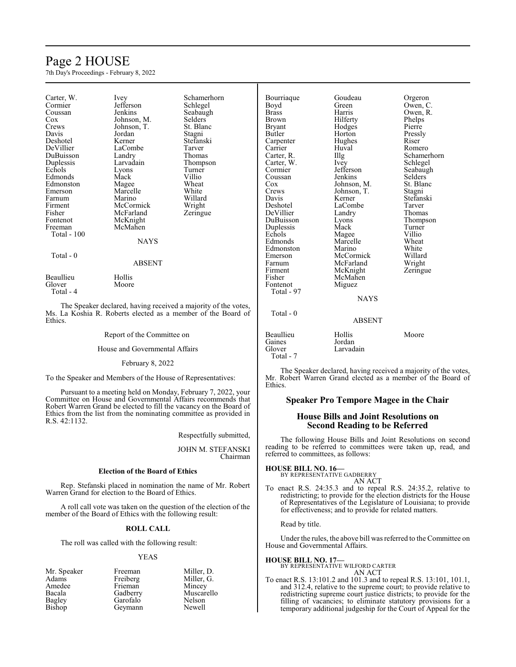## Page 2 HOUSE

7th Day's Proceedings - February 8, 2022

| Carter, W.<br>Cormier<br>Coussan<br>Cox<br>Crews<br>Davis<br>Deshotel<br>DeVillier<br>DuBuisson<br>Duplessis<br>Echols<br>Edmonds<br>Edmonston<br>Emerson<br>Farnum<br>Firment<br>Fisher<br>Fontenot<br>Freeman<br>Total - 100<br>$Total - 0$ | <i>lvey</i><br>Jefferson<br>Jenkins<br>Johnson, M.<br>Johnson, T.<br>Jordan<br>Kerner<br>LaCombe<br>Landry<br>Larvadain<br>Lyons<br>Mack<br>Magee<br>Marcelle<br>Marino<br>McCormick<br>McFarland<br>McKnight<br>McMahen<br><b>NAYS</b> | Schamerhorn<br>Schlegel<br>Seabaugh<br>Selders<br>St. Blanc<br>Stagni<br>Stefanski<br>Tarver<br>Thomas<br>Thompson<br>Turner<br>Villio<br>Wheat<br>White<br>Willard<br>Wright<br>Zeringue |
|-----------------------------------------------------------------------------------------------------------------------------------------------------------------------------------------------------------------------------------------------|-----------------------------------------------------------------------------------------------------------------------------------------------------------------------------------------------------------------------------------------|-------------------------------------------------------------------------------------------------------------------------------------------------------------------------------------------|
|                                                                                                                                                                                                                                               | <b>ABSENT</b>                                                                                                                                                                                                                           |                                                                                                                                                                                           |
| Beaullieu<br>Glover                                                                                                                                                                                                                           | Hollis<br>Moore                                                                                                                                                                                                                         |                                                                                                                                                                                           |

Total - 4

The Speaker declared, having received a majority of the votes, Ms. La Koshia R. Roberts elected as a member of the Board of Ethics.

Report of the Committee on

House and Governmental Affairs

February 8, 2022

To the Speaker and Members of the House of Representatives:

Pursuant to a meeting held on Monday, February 7, 2022, your Committee on House and Governmental Affairs recommends that Robert Warren Grand be elected to fill the vacancy on the Board of Ethics from the list from the nominating committee as provided in R.S. 42:1132.

Respectfully submitted,

JOHN M. STEFANSKI Chairman

#### **Election of the Board of Ethics**

Rep. Stefanski placed in nomination the name of Mr. Robert Warren Grand for election to the Board of Ethics.

A roll call vote was taken on the question of the election of the member of the Board of Ethics with the following result:

#### **ROLL CALL**

The roll was called with the following result:

#### YEAS

Mr. Speaker Freeman Miller, D.<br>Adams Freiberg Miller, G. Adams Freiberg Miller, G.<br>Amedee Frieman Mincey Amedee Frieman<br>Bacala Gadberry Bacala Gadberry Muscarello Bagley Garofalo Nelson<br>Bishop Geymann Newell

Geymann

| Bourriaque    | Goudeau       | Orgeron     |
|---------------|---------------|-------------|
| Boyd          | Green         | Owen, C.    |
| <b>Brass</b>  | Harris        | Owen, R.    |
| Brown         | Hilferty      | Phelps      |
| <b>Bryant</b> | Hodges        | Pierre      |
| Butler        | Horton        | Pressly     |
| Carpenter     | Hughes        | Riser       |
| Carrier       | Huval         | Romero      |
| Carter, R.    | Illg          | Schamerhorn |
| Carter, W.    | Ivey          | Schlegel    |
| Cormier       | Jefferson     | Seabaugh    |
| Coussan       | Jenkins       | Selders     |
| Cox           | Johnson, M.   | St. Blanc   |
| Crews         | Johnson, T.   | Stagni      |
| Davis         | Kerner        | Stefanski   |
| Deshotel      | LaCombe       | Tarver      |
| DeVillier     | Landry        | Thomas      |
| DuBuisson     | Lyons         | Thompson    |
| Duplessis     | Mack          | Turner      |
| Echols        | Magee         | Villio      |
| Edmonds       | Marcelle      | Wheat       |
| Edmonston     | Marino        | White       |
| Emerson       | McCormick     | Willard     |
| Farnum        | McFarland     | Wright      |
| Firment       | McKnight      | Zeringue    |
| Fisher        | McMahen       |             |
| Fontenot      | Miguez        |             |
| Total - 97    |               |             |
|               | <b>NAYS</b>   |             |
| Total - 0     |               |             |
|               | <b>ABSENT</b> |             |

### ABSENT

| Beaullieu | Hollis    | Moore |
|-----------|-----------|-------|
| Gaines    | Jordan    |       |
| Glover    | Larvadain |       |
| Total - 7 |           |       |

The Speaker declared, having received a majority of the votes, Mr. Robert Warren Grand elected as a member of the Board of Ethics.

#### **Speaker Pro Tempore Magee in the Chair**

#### **House Bills and Joint Resolutions on Second Reading to be Referred**

The following House Bills and Joint Resolutions on second reading to be referred to committees were taken up, read, and referred to committees, as follows:

#### **HOUSE BILL NO. 16—**

BY REPRESENTATIVE GADBERRY AN ACT

To enact R.S. 24:35.3 and to repeal R.S. 24:35.2, relative to redistricting; to provide for the election districts for the House of Representatives of the Legislature of Louisiana; to provide for effectiveness; and to provide for related matters.

Read by title.

Under the rules, the above bill was referred to the Committee on House and Governmental Affairs.

#### **HOUSE BILL NO. 17—**

#### BY REPRESENTATIVE WILFORD CARTER AN ACT

To enact R.S. 13:101.2 and 101.3 and to repeal R.S. 13:101, 101.1, and 312.4, relative to the supreme court; to provide relative to redistricting supreme court justice districts; to provide for the filling of vacancies; to eliminate statutory provisions for a temporary additional judgeship for the Court of Appeal for the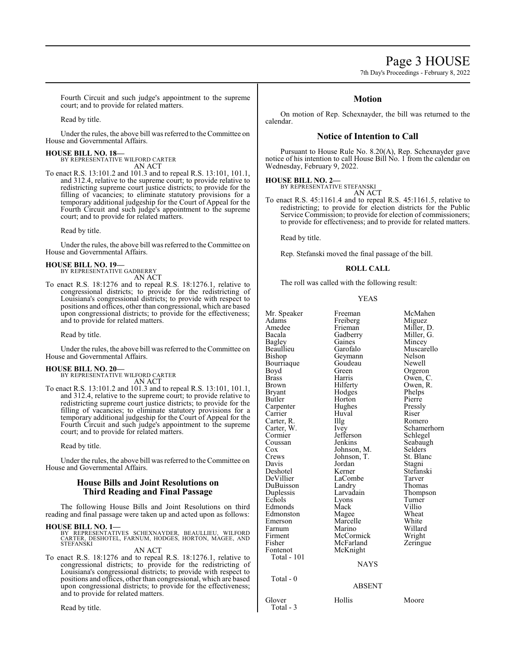## Page 3 HOUSE

7th Day's Proceedings - February 8, 2022

Fourth Circuit and such judge's appointment to the supreme court; and to provide for related matters.

Read by title.

Under the rules, the above bill was referred to the Committee on House and Governmental Affairs.

#### **HOUSE BILL NO. 18—**

BY REPRESENTATIVE WILFORD CARTER AN ACT

To enact R.S. 13:101.2 and 101.3 and to repeal R.S. 13:101, 101.1, and 312.4, relative to the supreme court; to provide relative to redistricting supreme court justice districts; to provide for the filling of vacancies; to eliminate statutory provisions for a temporary additional judgeship for the Court of Appeal for the Fourth Circuit and such judge's appointment to the supreme court; and to provide for related matters.

Read by title.

Under the rules, the above bill was referred to the Committee on House and Governmental Affairs.

#### **HOUSE BILL NO. 19—**

BY REPRESENTATIVE GADBERRY AN ACT

To enact R.S. 18:1276 and to repeal R.S. 18:1276.1, relative to congressional districts; to provide for the redistricting of Louisiana's congressional districts; to provide with respect to positions and offices, other than congressional, which are based upon congressional districts; to provide for the effectiveness; and to provide for related matters.

Read by title.

Under the rules, the above bill was referred to the Committee on House and Governmental Affairs.

#### **HOUSE BILL NO. 20—**

BY REPRESENTATIVE WILFORD CARTER AN ACT

To enact R.S. 13:101.2 and 101.3 and to repeal R.S. 13:101, 101.1, and 312.4, relative to the supreme court; to provide relative to redistricting supreme court justice districts; to provide for the filling of vacancies; to eliminate statutory provisions for a temporary additional judgeship for the Court of Appeal for the Fourth Circuit and such judge's appointment to the supreme court; and to provide for related matters.

Read by title.

Under the rules, the above bill was referred to the Committee on House and Governmental Affairs.

#### **House Bills and Joint Resolutions on Third Reading and Final Passage**

The following House Bills and Joint Resolutions on third reading and final passage were taken up and acted upon as follows:

#### **HOUSE BILL NO. 1—**

BY REPRESENTATIVES SCHEXNAYDER, BEAULLIEU, WILFORD<br>CARTER, DESHOTEL, FARNUM, HODGES, HORTON, MAGEE, AND<br>STEFANSKI

AN ACT To enact R.S. 18:1276 and to repeal R.S. 18:1276.1, relative to congressional districts; to provide for the redistricting of Louisiana's congressional districts; to provide with respect to positions and offices, other than congressional, which are based upon congressional districts; to provide for the effectiveness; and to provide for related matters.

Read by title.

#### **Motion**

On motion of Rep. Schexnayder, the bill was returned to the calendar.

#### **Notice of Intention to Call**

Pursuant to House Rule No. 8.20(A), Rep. Schexnayder gave notice of his intention to call House Bill No. 1 from the calendar on Wednesday, February 9, 2022.

#### **HOUSE BILL NO. 2—**

BY REPRESENTATIVE STEFANSKI AN ACT

To enact R.S. 45:1161.4 and to repeal R.S. 45:1161.5, relative to redistricting; to provide for election districts for the Public Service Commission; to provide for election of commissioners; to provide for effectiveness; and to provide for related matters.

Read by title.

Rep. Stefanski moved the final passage of the bill.

#### **ROLL CALL**

The roll was called with the following result:

#### YEAS

| Mr. Speaker           | Freeman           | McMahen     |
|-----------------------|-------------------|-------------|
| Adams                 | Freiberg          | Miguez      |
| Amedee                | Frieman           | Miller, D.  |
| Bacala                | Gadberry          | Miller, G.  |
| <b>Bagley</b>         | Gaines            | Mincey      |
| Beaullieu             | Garofalo          | Muscarello  |
| Bishop                | Geymann           | Nelson      |
| Bourriaque            | Goudeau           | Newell      |
| Boyd                  | Green             | Orgeron     |
| <b>Brass</b>          | Harris            | Owen, C.    |
| <b>Brown</b>          | Hilferty          | Owen, R.    |
| <b>Bryant</b>         | Hodges            | Phelps      |
| Butler                | Horton            | Pierre      |
|                       | Hughes            | Pressly     |
| Carpenter<br>Carrier  | Huval             | Riser       |
| Carter, R.            | Illg              | Romero      |
|                       |                   | Schamerhorn |
| Carter, W.<br>Cormier | Ivey<br>Jefferson |             |
|                       | Jenkins           | Schlegel    |
| Coussan               |                   | Seabaugh    |
| Cox                   | Johnson, M.       | Selders     |
| Crews                 | Johnson, T.       | St. Blanc   |
| Davis                 | Jordan            | Stagni      |
| Deshotel              | Kerner            | Stefanski   |
| DeVillier             | LaCombe           | Tarver      |
| DuBuisson             | Landry            | Thomas      |
| Duplessis             | Larvadain         | Thompson    |
| Echols                | Lyons             | Turner      |
| Edmonds               | Mack              | Villio      |
| Edmonston             | Magee             | Wheat       |
| Emerson               | Marcelle          | White       |
| Farnum                | Marino            | Willard     |
| Firment               | McCormick         | Wright      |
| Fisher                | McFarland         | Zeringue    |
| Fontenot              | McKnight          |             |
| Total - 101           |                   |             |
|                       | <b>NAYS</b>       |             |
| Total - 0             |                   |             |
|                       | <b>ABSENT</b>     |             |
| Glover<br>Total - 3   | Hollis            | Moore       |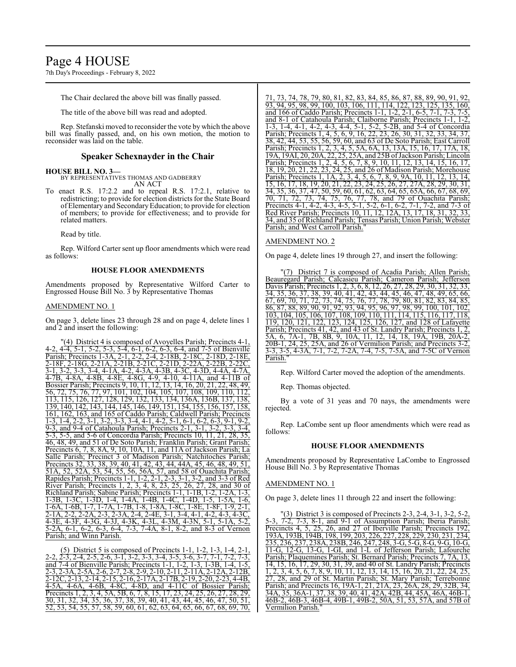## Page 4 HOUSE

7th Day's Proceedings - February 8, 2022

The Chair declared the above bill was finally passed.

The title of the above bill was read and adopted.

Rep. Stefanski moved to reconsider the vote by which the above bill was finally passed, and, on his own motion, the motion to reconsider was laid on the table.

#### **Speaker Schexnayder in the Chair**

#### **HOUSE BILL NO. 3—**

BY REPRESENTATIVES THOMAS AND GADBERRY AN ACT

To enact R.S. 17:2.2 and to repeal R.S. 17:2.1, relative to redistricting; to provide for election districts for the State Board of Elementary and SecondaryEducation; to provide for election of members; to provide for effectiveness; and to provide for related matters.

Read by title.

Rep. Wilford Carter sent up floor amendments which were read as follows:

#### **HOUSE FLOOR AMENDMENTS**

Amendments proposed by Representative Wilford Carter to Engrossed House Bill No. 3 by Representative Thomas

#### AMENDMENT NO. 1

On page 3, delete lines 23 through 28 and on page 4, delete lines 1 and 2 and insert the following:

"(4) District 4 is composed of Avoyelles Parish; Precincts 4-1, 4-2, 4-4, 5-1, 5-2, 5-3, 5-4, 6-1, 6-2, 6-3, 6-4, and 7-5 of Bienville Parish; Precincts 1-3A, 2-1, 2-2, 2-4, 2-18B, 2-18C, 2-18D, 2-18E, 2-18F, 2-18G, 2-21A, 2-21B, 2-21C, 2-21D, 2-22A, 2-22B, 2-22C, 3-1, 3-2, 3-3, 3-4, 4-1A, 4-2, 4-3A, 4-3B, 4-3C, 4-3D, 4-4A, 4-7A, 4-7B, 4-8A, 4-8B, 4-8E, 4-8G, 4-9, 4-10, 4-11A, and 4-11B of Bossier Parish; Precincts 9, 10, 11, 12, 13, 14, 16, 20, 21, 22, 48, 49, 56, 72, 75, 76, 77, 97, 101, 102, 104, 105, 107, 108, 109, 110, 112, 113, 115, 126, 127, 128, 129, 132, 133, 134, 136A, 136B, 137, 138, 139, 140, 142, 143, 144, 145, 146, 149, 151, 154, 155, 156, 157, 158, 161, 162, 163, and 165 of Caddo Parish; Caldwell Parish; Precincts 1-3, 1-4, 2-2, 3-1, 3-2, 3-3, 3-4, 4-1, 4-2, 5-1, 6-1, 6-2, 6-3, 9-1, 9-2, 9-3, and 9-4 of Catahoula Parish; Precincts 2-1, 3-1, 3-2, 3-3, 3-4, 5-3, 5-5, and 5-6 of Concordia Parish; Precincts 10, 11, 21, 28, 35, 46, 48, 49, and 51 of De Soto Parish; Franklin Parish; Grant Parish; Precincts 6, 7, 8, 8A, 9, 10, 10A, 11, and 11A of Jackson Parish; La Salle Parish; Precinct 3 of Madison Parish; Natchitoches Parish; Precincts 32, 33, 38, 39, 40, 41, 42, 43, 44, 44A, 45, 46, 48, 49, 51, 51A, 52, 52A, 53, 54, 55, 56, 56A, 57, and 58 of Ouachita Parish; Rapides Parish; Precincts 1-1, 1-2, 2-1, 2-3, 3-1, 3-2, and 3-3 of Red River Parish; Precincts 1, 2, 3, 4, 8, 23, 25, 26, 27, 28, and 30 of Richland Parish; Sabine Parish; Precincts 1-1, 1-1B, 1-2, 1-2A, 1-3, 1-3B, 1-3C, 1-3D, 1-4, 1-4A, 1-4B, 1-4C, 1-4D, 1-5, 1-5A, 1-6, 1-6A, 1-6B, 1-7, 1-7A, 1-7B, 1-8, 1-8A, 1-8C, 1-8E, 1-8F, 1-9, 2-1, 2-1A, 2-2, 2-2A, 2-3, 2-3A, 2-4, 2-4E, 3-1, 3-4, 4-1, 4-2, 4-3, 4-3C, 4-3E, 4-3F, 4-3G, 4-3J, 4-3K, 4-3L, 4-3M, 4-3N, 5-1, 5-1A, 5-2, 5-2A, 6-1, 6-2, 6-3, 6-4, 7-3, 7-4A, 8-1, 8-2, and 8-3 of Vernon Parish; and Winn Parish.

(5) District 5 is composed of Precincts 1-1, 1-2, 1-3, 1-4, 2-1, 2-2, 2-3, 2-4, 2-5, 2-6, 3-1, 3-2, 3-3, 3-4, 3-5, 3-6, 3-7, 7-1, 7-2, 7-3, and 7-4 of Bienville Parish; Precincts 1-1, 1-2, 1-3, 1-3B, 1-4, 1-5, 2-3, 2-3A, 2-5A, 2-6, 2-7, 2-8, 2-9, 2-10, 2-11, 2-11A, 2-12A, 2-12B, 2-12C, 2-13, 2-14, 2-15, 2-16, 2-17A, 2-17B, 2-19, 2-20, 2-23, 4-4B, 4-5A, 4-6A, 4-6B, 4-8C, 4-8D, and 4-11C of Bossier Parish; Precincts 1, 2, 3, 4, 5A, 5B, 6, 7, 8, 15, 17, 23, 24, 25, 26, 27, 28, 29, 30, 31, 32, 34, 35, 36, 37, 38, 39, 40, 41, 43, 44, 45, 46, 47, 50, 51, 52, 53, 54, 55, 57, 58, 59, 60, 61, 62, 63, 64, 65, 66, 67, 68, 69, 70,

71, 73, 74, 78, 79, 80, 81, 82, 83, 84, 85, 86, 87, 88, 89, 90, 91, 92, 93, 94, 95, 98, 99, 100, 103, 106, 111, 114, 122, 123, 125, 135, 160, and 166 of Caddo Parish; Precincts 1-1, 1-2, 2-1, 6-5, 7-1, 7-3, 7-5, and 8-1 of Catahoula Parish; Claiborne Parish; Precincts 1-1, 1-2, 1-3, 1-4, 4-1, 4-2, 4-3, 4-4, 5-1, 5-2, 5-2B, and 5-4 of Concordia Parish; Precincts 1, 4, 5, 6, 9, 16, 22, 23, 26, 30, 31, 32 38, 42, 44, 53, 55, 56, 59, 60, and 63 of De Soto Parish; East Carroll Parish; Precincts 1, 2, 3, 4, 5, 5A, 6A, 13, 13A, 15, 16, 17, 17A, 18, 19A, 19AI, 20, 20A, 22, 25, 25A, and 25B ofJackson Parish; Lincoln Parish; Precincts 1, 2, 4, 5, 6, 7, 8, 9, 10, 11, 12, 13, 14, 15, 16, 17, 18, 19, 20, 21, 22, 23, 24, 25, and 26 of Madison Parish; Morehouse Parish; Precincts 1, 1A, 2, 3, 4, 5, 6, 7, 8, 9, 9A, 10, 11, 12, 13, 14, 15, 16, 17, 18, 19, 20, 21, 22, 23, 24, 25, 26, 27, 27A, 28, 29, 30, 31, 34, 35, 36, 37, 47, 50, 59, 60, 61, 62, 63, 64, 65, 65A, 66, 67, 68, 69, 70, 71, 72, 73, 74, 75, 76, 77, 78, and 79 of Ouachita Parish; Precincts 4-1, 4-2, 4-3, 4-5, 5-1, 5-2, 6-1, 6-2, 7-1, 7-2, and 7-3 of Red River Parish; Precincts 10, 11, 12, 12A, 13, 17, 18, 31, 32, 33, 34, and 35 of Richland Parish; Tensas Parish; Union Parish; Webster Parish; and West Carroll Parish.'

#### AMENDMENT NO. 2

On page 4, delete lines 19 through 27, and insert the following:

"(7) District 7 is composed of Acadia Parish; Allen Parish; Beauregard Parish; Calcasieu Parish; Cameron Parish; Jefferson Davis Parish; Precincts 1, 2, 3, 6, 8, 12, 26, 27, 28, 29, 30, 31, 32, 33, 34, 35, 36, 37, 38, 39, 40, 41, 42, 43, 44, 45, 46, 47, 48, 49, 65, 66, 67, 69, 70, 71, 72, 73, 74, 75, 76, 77, 78, 79, 80, 81, 82, 83, 84, 85, 86, 87, 88, 89, 90, 91, 92, 93, 94, 95, 96, 97, 98, 99, 100, 101, 102, 103, 104, 105, 106, 107, 108, 109, 110, 111, 114, 115, 116, 117, 118, 119, 120, 121, 122, 123, 124, 125, 126, 127, and 128 of Lafayette Parish; Precincts 41, 42, and 43 of St. Landry Parish; Precincts 1, 2, 5A, 6, 7A-1, 7B, 8B, 9, 10A, 11, 12, 14, 18, 19A, 19B, 20A-2, 20B-1, 24, 25, 25A, and 26 of Vermilion Parish; and Precincts 3-2, 3-3, 3-5, 4-3A, 7-1, 7-2, 7-2A, 7-4, 7-5, 7-5A, and 7-5C of Vernon Parish."

Rep. Wilford Carter moved the adoption of the amendments.

Rep. Thomas objected.

By a vote of 31 yeas and 70 nays, the amendments were rejected.

Rep. LaCombe sent up floor amendments which were read as follows:

#### **HOUSE FLOOR AMENDMENTS**

Amendments proposed by Representative LaCombe to Engrossed House Bill No. 3 by Representative Thomas

#### AMENDMENT NO. 1

On page 3, delete lines 11 through 22 and insert the following:

(3) District 3 is composed of Precincts 2-3, 2-4, 3-1, 3-2, 5-2 5-3, 7-2, 7-3, 8-1, and 9-1 of Assumption Parish; Iberia Parish; Precincts 4, 5, 25, 26, and 27 of Iberville Parish; Precincts 192, 193A, 193B, 194B, 198, 199, 203, 226, 227, 228, 229, 230, 231, 234, 235, 236, 237, 238A, 238B, 246, 247, 248, 3-G, 5-G, 8-G, 9-G, 10-G, 11-G, 12-G, 13-G, 1-GI, and 1-L of Jefferson Parish; Lafourche Parish; Plaquemines Parish; St. Bernard Parish; Precincts 7, 7A, 13, 14, 15, 16, 17, 29, 30, 31, 39, and 40 of St. Landry Parish; Precincts 1, 2, 3, 4, 5, 6, 7, 8, 9, 10, 11, 12, 13, 14, 15, 16, 20, 21, 22, 24, 25, 27, 28, and 29 of St. Martin Parish; St. Mary Parish; Terrebonne Parish; and Precincts 16, 19A-1, 21, 21A, 23, 26A, 28, 29, 32B, 34, 34A, 35, 36A-1, 37, 38, 39, 40, 41, 42A, 42B, 44, 45A, 46A, 46B-1, 46B-2, 46B-3, 46B-4, 49B-1, 49B-2, 50A, 51, 53, 57A, and 57B of Vermilion Parish."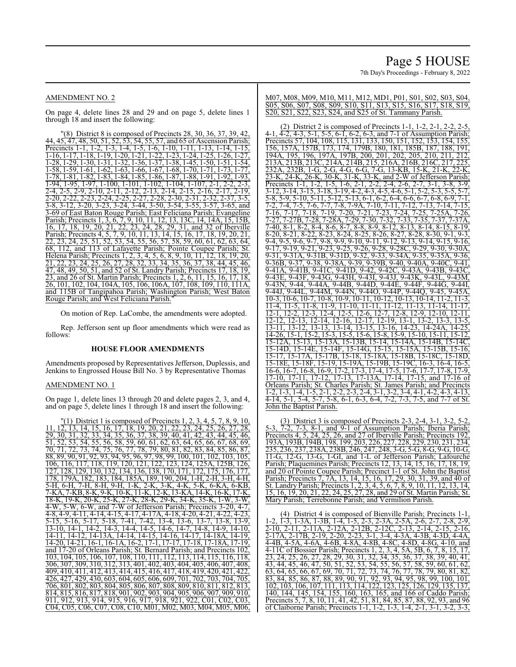#### AMENDMENT NO. 2

On page 4, delete lines 28 and 29 and on page 5, delete lines 1 through 18 and insert the following:

"(8) District 8 is composed of Precincts 28, 30, 36, 37, 39, 42, 44, 45, 47, 48, 50, 51, 52, 53, 54, 55, 57, and 65 of Ascension Parish; Precincts 1-1, 1-2, 1-3, 1-4, 1-5, 1-6, 1-10, 1-11, 1-13, 1-14, 1-15, 1-16, 1-17, 1-18, 1-19, 1-20, 1-21, 1-22, 1-23, 1-24, 1-25, 1-26, 1-27, 1-28, 1-29, 1-30, 1-31, 1-32, 1-36, 1-37, 1-38, 1-45, 1-50, 1-51, 1-54, 1-58, 1-59, 1-61, 1-62, 1-63, 1-66, 1-67, 1-68, 1-70, 1-71, 1-73, 1-77, 1-78, 1-81, 1-82, 1-83, 1-84, 1-85, 1-86, 1-87, 1-88, 1-91, 1-92, 1-93, 1-94, 1-95, 1-97, 1-100, 1-101, 1-102, 1-104, 1-107, 2-1, 2-2, 2-3, 2-4, 2-5, 2-9, 2-10, 2-11, 2-12, 2-13, 2-14, 2-15, 2-16, 2-17, 2-19, 2-20, 2-22, 2-23, 2-24, 2-25, 2-27, 2-28, 2-30, 2-31, 2-32, 2-37, 3-5, 3-8, 3-12, 3-20, 3-23, 3-24, 3-44, 3-50, 3-54, 3-55, 3-57, 3-65, and 3-69 of East Baton Rouge Parish; East Feliciana Parish; Evangeline Parish; Precincts 1, 3, 6, 7, 9, 10, 11, 12, 13, 13C, 14, 14A, 15, 15B, 16, 17, 18, 19, 20, 21, 22, 23, 24, 28, 29, 31, and 32 of Iberville Parish; Precincts 4, 5, 7, 9, 10, 11, 13, 14, 15, 16, 17, 18, 19, 20, 21, 22, 23, 24, 25, 51, 52, 53, 54, 55, 56, 57, 58, 59, 60, 61, 62, 63, 64, 112, and 113 of Lafayette Parish; Pointe Coupee Parish; St. Helena Parish; Precincts 1, 2, 3, 4, 5, 6, 8, 9, 10, 11, 12, 18, 19, 20, 21, 22, 23, 24, 25, 26, 27, 28, 32, 33, 34, 35, 36, 37, 38, 44, 45, 46, 47, 48, 49, 50, 51, and 52 of St. Landry Parish; Precincts 17, 18, 19, 23, and 26 of St. Martin Parish; Precincts 1, 2, 6, 11, 15, 16, 17, 18, 26, 101, 102, 104, 104A, 105, 106, 106A, 107, 108, 109, 110, 111A, and 115B of Tangipahoa Parish; Washington Parish; West Baton Rouge Parish; and West Feliciana Parish."

On motion of Rep. LaCombe, the amendments were adopted.

Rep. Jefferson sent up floor amendments which were read as follows:

#### **HOUSE FLOOR AMENDMENTS**

Amendments proposed by Representatives Jefferson, Duplessis, and Jenkins to Engrossed House Bill No. 3 by Representative Thomas

#### AMENDMENT NO. 1

On page 1, delete lines 13 through 20 and delete pages 2, 3, and 4, and on page 5, delete lines 1 through 18 and insert the following:

 $(1)$  District 1 is composed of Precincts 1, 2, 3, 4, 5, 7, 8, 9, 10, 11, 12, 13, 14, 15, 16, 17, 18, 19, 20, 21, 22, 23, 24, 25, 26, 27, 28, 29, 30, 31, 32, 33, 34, 35, 36, 37, 38, 39, 40, 41, 42, 43, 44, 45, 46, 51, 52, 53, 54, 55, 56, 58, 59, 60, 61, 62, 63, 64, 65, 66, 67, 68, 69, 70, 71, 72, 73, 74, 75, 76, 77, 78, 79, 80, 81, 82, 83, 84, 85, 86, 87, 88, 89, 90, 91, 92, 93, 94, 95, 96, 97, 98, 99, 100, 101, 102, 103, 105, 106, 116, 117, 118, 119, 120, 121, 122, 123, 124, 125A, 125B, 126, 127, 128, 129, 130, 132, 134, 136, 138, 170, 171, 172, 175, 176, 177, 178, 179A, 182, 183, 184, 185A, 189, 190, 204, 1-H, 2-H, 3-H, 4-H, 5-H, 6-H, 7-H, 8-H, 9-H, 1-K, 2-K, 3-K, 4-K, 5-K, 6-KA, 6-KB, 7-KA, 7-KB, 8-K, 9-K, 10-K, 11-K, 12-K, 13-KA, 14-K, 16-K, 17-K, 18-K, 19-K, 20-K, 25-K, 27-K, 28-K, 29-K, 34-K, 35-K, 1-W, 3-W, 4-W, 25-K, 25-K, 29-K, 29-K, 34-K, 35-K, 1-W, 3-W, 4-W, 5-W, 6-W, and 7-W of Jefferson Parish; Precincts 3-20, 4-7, 4-8, 4-9, 4-11, 4-14, 4-15, 4-17, 4-17A, 4-18, 4-20, 4-21, 4-22, 4-23, 5-15, 5-16, 5-17, 5-18, 7-41, 7-42, 13-4, 13-6, 13-7, 13-8, 13-9, 13-10, 14-1, 14-2, 14-3, 14-4, 14-5, 14-6, 14-7, 14-8, 14-9, 14-10, 14-11, 14-12, 14-13A, 14-14, 14-15, 14-16, 14-17, 14-18A, 14-19, 14-20, 14-21, 16-1, 16-1A, 16-2, 17-1, 17-17, 17-18, 17-18A, 17-19, and 17-20 of Orleans Parish; St. Bernard Parish; and Precincts 102, 103, 104, 105, 106, 107, 108, 110, 111, 112, 113, 114, 115, 116, 118, 306, 307, 309, 310, 312, 313, 401, 402, 403, 404, 405, 406, 407, 408, 409, 410, 411, 412, 413, 414, 415, 416, 417, 418, 419, 420, 421, 422, 426, 427, 429, 430, 603, 604, 605, 606, 609, 701, 702, 703, 704, 705, 706, 801, 802, 803, 804, 805, 806, 807, 808, 809, 810, 811, 812, 813, 814, 815, 816, 817, 818, 901, 902, 903, 904, 905, 906, 907, 909, 910, 911, 912, 913, 914, 915, 916, 917, 918, 921, 922, C01, C02, C03, C04, C05, C06, C07, C08, C10, M01, M02, M03, M04, M05, M06,

M07, M08, M09, M10, M11, M12, MD1, P01, S01, S02, S03, S04, S05, S06, S07, S08, S09, S10, S11, S13, S15, S16, S17, S18, S19, S20, S21, S22, S23, S24, and S25 of St. Tammany Parish.

(2) District 2 is composed of Precincts 1-1, 1-2, 2-1, 2-2, 2-5, 4-1, 4-2, 4-3, 5-1, 5-5, 6-1, 6-2, 6-3, and 7-1 of Assumption Parish; Precincts 57, 104, 108, 115, 131, 133, 150, 151, 152, 153, 154, 155, 156, 157A, 157B, 173, 174, 179B, 180, 181, 185B, 187, 188, 191, 194A, 195, 196, 197A, 197B, 200, 201, 202, 205, 210, 211, 212, 213A, 213B, 213C, 214A, 214B, 215, 216A, 216B, 216C, 217, 225, 232A, 232B, 1-G, 2-G, 4-G, 6-G, 7-G, 13-KB, 15-K, 21-K, 22-K<br>23-K, 24-K. 26-K, 30-K, 31-K, 33-K, and 2-W of Jefferson Parisl  $26-K$ , 30-K,  $31-K$ ,  $33-K$ , and  $2-W$  of Jefferson Parish; Precincts 1-1, 1-2, 1-5, 1-6, 2-1, 2-2, 2-4, 2-6, 2-7, 3-1, 3-8, 3-9, 3-12, 3-14, 3-15, 3-18, 3-19, 4-2, 4-3, 4-5, 4-6, 5-1, 5-2, 5-3, 5-5, 5-7, 5-8, 5-9, 5-10, 5-11, 5-12, 5-13, 6-1, 6-2, 6-4, 6-6, 6-7, 6-8, 6-9, 7-1, 7-2, 7-4, 7-5, 7-6, 7-7, 7-8, 7-9A, 7-10, 7-11, 7-12, 7-13, 7-14, 7-15, 7-16, 7-17, 7-18, 7-19, 7-20, 7-21, 7-23, 7-24, 7-25, 7-25A, 7-26, 7-27, 7-27B, 7-28, 7-28A, 7-29, 7-30, 7-32, 7-33, 7-35, 7-37, 7-37A, 7-40, 8-1, 8-2, 8-4, 8-6, 8-7, 8-8, 8-9, 8-12, 8-13, 8-14, 8-15, 8-19, 8-20, 8-21, 8-22, 8-23, 8-24, 8-25, 8-26, 8-27, 8-28, 8-30, 9-1, 9-3, 9-4, 9-5, 9-6, 9-7, 9-8, 9-9, 9-10, 9-11, 9-12, 9-13, 9-14, 9-15, 9-16, 9-17, 9-19, 9-21, 9-23, 9-25, 9-26, 9-28, 9-28C, 9-29, 9-30, 9-30A, 9-31, 9-31A, 9-31B, 9-31D, 9-32, 9-33, 9-34A, 9-35, 9-35A, 9-36, 9-36B, 9-37, 9-38, 9-38A, 9-39, 9-39B, 9-40, 9-40A, 9-40C, 9-41, 9-41A, 9-41B, 9-41C, 9-41D, 9-42, 9-42C, 9-43A, 9-43B, 9-43C, 9-43E, 9-43F, 9-43G, 9-43H, 9-43I, 9-43J, 9-43K, 9-43L, 9-43M, 9-43N, 9-44, 9-44A, 9-44B, 9-44D, 9-44E, 9-44F, 9-44G, 9-44I, 9-44J, 9-44L, 9-44M, 9-44N, 9-44O, 9-44P, 9-44Q, 9-45, 9-45A, 10-3, 10-6, 10-7, 10-8, 10-9, 10-11, 10-12, 10-13, 10-14, 11-2, 11-3, 11-4, 11-5, 11-8, 11-9, 11-10, 11-11, 11-12, 11-13, 11-14, 11-17, 12-1, 12-2, 12-3, 12-4, 12-5, 12-6, 12-7, 12-8, 12-9, 12-10, 12-11, 12-12, 12-13, 12-14, 12-16, 12-17, 12-19, 13-1, 13-2, 13-3, 13-5, 13-11, 13-12, 13-13, 13-14, 13-15, 13-16, 14-23, 14-24A, 14-25, 14-26, 15-1, 15-2, 15-3, 15-5, 15-6, 15-8, 15-9, 15-10, 15-11, 15-12, 15-12A, 15-13, 15-13A, 15-13B, 15-14, 15-14A, 15-14B, 15-14C, 15-14D, 15-14E, 15-14F, 15-14G, 15-15, 15-15A, 15-15B, 15-16, 15-17, 15-17A, 15-17B, 15-18, 15-18A, 15-18B, 15-18C, 15-18D, 15-18E, 15-18F, 15-19, 15-19A, 15-19B, 15-19C, 16-3, 16-4, 16-5, 16-6, 16-7, 16-8, 16-9, 17-2, 17-3, 17-4, 17-5, 17-6, 17-7, 17-8, 17-9, 17-10, 17-11, 17-12, 17-13, 17-13A, 17-14, 17-15, and 17-16 of Orleans Parish; St. Charles Parish; St. James Parish; and Precincts 1-2, 1-3, 1-4, 1-5, 2-1, 2-2, 2-3, 2-4, 3-1, 3-2, 3-4, 4-1, 4-2, 4-3, 4-13, 4-14, 5-1, 5-4, 5-7, 5-8, 6-1, 6-3, 6-4, 7-2, 7-3, 7-5, and 7-7 of St. John the Baptist Parish.

(3) District 3 is composed of Precincts 2-3, 2-4, 3-1, 3-2, 5-2, 5-3, 7-2, 7-3, 8-1, and 9-1 of Assumption Parish; Iberia Parish;<br>Precincts 4, 5, 24, 25, 26, and 27 of Iberville Parish; Precincts 192, , 25, 26, and 27 of Iberville Parish; Precincts 192 193A, 193B, 194B, 198, 199, 203, 226, 227, 228, 229, 230, 231, 234, 235, 236, 237, 238A, 238B, 246, 247, 248, 3-G, 5-G, 8-G, 9-G, 10-G, 11-G, 12-G, 13-G, 1-GI, and 1-L of Jefferson Parish; Lafourche Parish; Plaquemines Parish; Precincts 12, 13, 14, 15, 16, 17, 18, 19, and 20 of Pointe Coupee Parish; Precinct 1-1 of St. John the Baptist Parish; Precincts 7, 7A, 13, 14, 15, 16, 17, 29, 30, 31, 39, and 40 of St. Landry Parish; Precincts 1, 2, 3, 4, 5, 6, 7, 8, 9, 10, 11, 12, 13, 14, 15, 16, 19, 20, 21, 22, 24, 25, 27, 28, and 29 of St. Martin Parish; St. Mary Parish; Terrebonne Parish; and Vermilion Parish.

(4) District 4 is composed of Bienville Parish; Precincts 1-1 1-2, 1-3, 1-3A, 1-3B, 1-4, 1-5, 2-3, 2-3A, 2-5A, 2-6, 2-7, 2-8, 2-9, 2-10, 2-11, 2-11A, 2-12A, 2-12B, 2-12C, 2-13, 2-14, 2-15, 2-16, 2-17A, 2-17B, 2-19, 2-20, 2-23, 3-1, 3-4, 4-3A, 4-3B, 4-3D, 4-4A, 4-4B, 4-5A, 4-6A, 4-6B, 4-8A, 4-8B, 4-8C, 4-8D, 4-8G, 4-10, and 4-11C of Bossier Parish; Precincts 1, 2, 3, 4, 5A, 5B, 6, 7, 8, 15, 17, 23, 24, 25, 26, 27, 28, 29, 30, 31, 32, 34, 35, 36, 37, 38, 39, 40, 41, 43, 44, 45, 46, 47, 50, 51, 52, 53, 54, 55, 56, 57, 58, 59, 60, 61, 62, 63, 64, 65, 66, 67, 69, 70, 71, 72, 73, 74, 76, 77, 78, 79, 80, 81, 82, 83, 84, 85, 86, 87, 88, 89, 90, 91, 92, 93, 94, 95, 98, 99, 100, 101, 102, 103, 106, 107, 111, 113, 114, 122, 123, 125, 126, 129, 135, 137, 140, 144, 145, 154, 155, 160, 163, 165, and 166 of Caddo Parish; Precincts 5, 7, 8, 10, 11, 41, 42, 51, 81, 84, 85, 87, 88, 92, 93, and 96 of Claiborne Parish; Precincts 1-1, 1-2, 1-3, 1-4, 2-1, 3-1, 3-2, 3-3,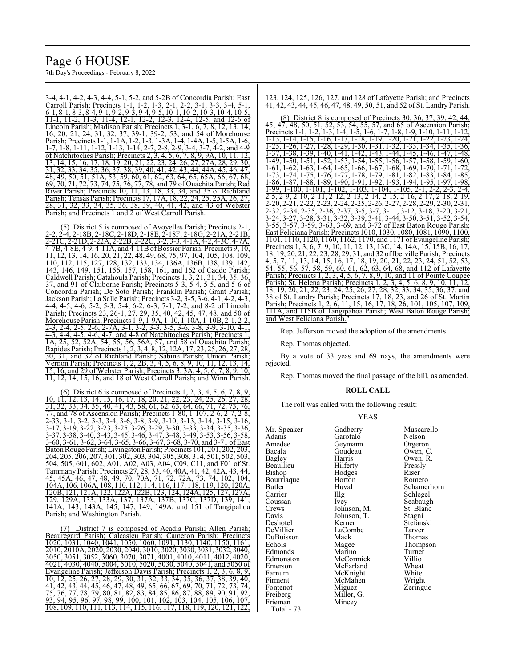# Page 6 HOUSE

7th Day's Proceedings - February 8, 2022

3-4, 4-1, 4-2, 4-3, 4-4, 5-1, 5-2, and 5-2B of Concordia Parish; East Carroll Parish; Precincts 1-1, 1-2, 1-3, 2-1, 2-2, 3-1, 3-3, 3-4, 5-1, 6-1, 8-1, 8-3, 8-4, 9-1, 9-2, 9-3, 9-4, 9-5, 10-1, 10-2, 10-3, 10-4, 10-5, 11-1, 11-2, 11-3, 11-4, 12-1, 12-2, 12-3, 12-4, 12-5, and 12-6 of Lincoln Parish; Madison Parish; Precincts 1, 3-1, 6, 7, 8, 12, 13, 14, 16, 20, 21, 24, 31, 32, 37, 39-1, 39-2, 53, and 54 of Morehouse Parish; Precincts 1-1, 1-1A, 1-2, 1-3, 1-3A, 1-4, 1-4A, 1-5, 1-5A, 1-6,  $\frac{1}{7}$ ,  $\frac{1}{8}$ ,  $\frac{1}{11}$ ,  $\frac{1}{11}$ ,  $\frac{1}{12}$ ,  $\frac{1}{11}$ ,  $\frac{1}{3}$ ,  $\frac{1}{11}$ ,  $\frac{1}{4}$ ,  $\frac{2}{7}$ ,  $\frac{7}{2}$ ,  $\frac{2}{8}$ ,  $\frac{2}{9}$ ,  $\frac{3}{3}$ ,  $\frac{4}{3}$ ,  $\frac{3}{1}$ ,  $\frac{4}{1}$ ,  $\frac{4}{11}$ ,  $\frac{1}{12}$ ,  $\frac{1$ of Natchitoches Parish; Precincts 2, 3, 4, 5, 6, 7, 8, 9, 9A, 10, 11, 12, 13, 14, 15, 16, 17, 18, 19, 20, 21, 22, 23, 24, 26, 27, 27A, 28, 29, 30, 31, 32, 33, 34, 35, 36, 37, 38, 39, 40, 41, 42, 43, 44, 44A, 45, 46, 47, 48, 49, 50, 51, 51A, 53, 59, 60, 61, 62, 63, 64, 65, 65A, 66, 67, 68, 69, 70, 71, 72, 73, 74, 75, 76, 77, 78, and 79 of Ouachita Parish; Red River Parish; Precincts 10, 11, 13, 18, 33, 34, and 35 of Richland<br>Parish; Tensas Parish; Precincts 17, 17A, 18, 22, 24, 25, 25A, 26, 27, Parish; Tensas Parish; Precincts 17, 17A, 18, 22 28, 31, 32, 33, 34, 35, 36, 38, 39, 40, 41, 42, and 43 of Webster Parish; and Precincts 1 and 2 of West Carroll Parish.

(5) District 5 is composed of Avoyelles Parish; Precincts 2-1, 2-2, 2-4, 2-18B, 2-18C, 2-18D, 2-18E, 2-18F, 2-18G, 2-21A, 2-21B, 2-21C, 2-21D, 2-22A, 2-22B, 2-22C, 3-2, 3-3, 4-1A, 4-2, 4-3C, 4-7A, 4-7B, 4-8E, 4-9, 4-11A, and 4-11B ofBossier Parish; Precincts 9, 10, 11, 12, 13, 14, 16, 20, 21, 22, 48, 49, 68, 75, 97, 104, 105, 108, 109, 110, 112, 115, 127, 128, 132, 133, 134, 136A, 136B, 138, 139, 142, 143, 146, 149, 151, 156, 157, 158, 161, and 162 of Caddo Parish; Caldwell Parish; Catahoula Parish; Precincts 1, 3, 21, 31, 34, 35, 36, 37, and 91 of Claiborne Parish; Precincts 5-3, 5-4, 5-5, and 5-6 of Concordia Parish; De Soto Parish; Franklin Parish; Grant Parish; Jackson Parish; La Salle Parish; Precincts 3-2, 3-5, 3-6, 4-1, 4-2, 4-3, 4-4, 4-5, 4-6, 5-2, 5-3, 5-4, 6-2, 6-3, 7-1, 7-2, and 8-2 of Lincoln Parish; Precincts 23, 26-1, 27, 29, 35, 40, 42, 45, 47, 48, and 50 of Morehouse Parish; Precincts 1-9, 1-9A, 1-10, 1-10A, 1-10B, 2-1, 2-2, 2-3, 2-4, 2-5, 2-6, 2-7A, 3-1, 3-2, 3-3, 3-5, 3-6, 3-8, 3-9, 3-10, 4-1, 4-3, 4-4, 4-5, 4-6, 4-7, and 4-8 of Natchitoches Parish; Precincts 1, 1A, 25, 52, 52A, 54, 55, 56, 56A, 57, and 58 of Ouachita Parish; Rapides Parish; Precincts 1, 2, 3, 4, 8, 12, 12A, 17, 23, 25, 26, 27, 28, 30, 31, and 32 of Richland Parish; Sabine Parish; Union Parish; Vernon Parish; Precincts 1, 2, 2B, 3, 4, 5, 6, 8, 9, 10, 11, 12, 13, 14, 15, 16, and 29 of Webster Parish; Precincts 3, 3A, 4, 5, 6, 7, 8, 9, 10, 11, 12, 14, 15, 16, and 18 of West Carroll Parish; and Winn Parish.

 $(6)$  District 6 is composed of Precincts 1, 2, 10, 11, 12, 13, 14, 15, 16, 17, 18, 20, 21, 22, 23, 24, 25, 26, 27, 28,  $\frac{33}{31}$ ,  $\frac{32}{32}$ ,  $\frac{33}{34}$ ,  $\frac{35}{35}$ ,  $\frac{40}{31}$ ,  $\frac{41}{33}$ ,  $\frac{58}{36}$ ,  $\frac{61}{62}$ ,  $\frac{62}{63}$ ,  $\frac{64}{64}$ ,  $\frac{66}{71}$ ,  $\frac{72}{72}$ ,  $\frac{73}{76}$ , 77, and 78 of Ascension Parish; Precincts 1-80, 1-107, 2-6, 2-7, 2-8, 2-33, 3-1, 3-2, 3-3, 3-4, 3-6, 3-8, 3-9, 3-10, 3-13, 3-14, 3-15, 3-16, 3-17, 3-19, 3-22, 3-23, 3-25, 3-26, 3-29, 3-30, 3-33, 3-34, 3-35, 3-36, 3-37, 3-38, 3-40, 3-43, 3-45, 3-46, 3-47, 3-48, 3-49, 3-53, 3-56, 3-58, 3-60, 3-61, 3-62, 3-64, 3-65, 3-66, 3-67, 3-68, 3-70, and 3-71 of East Baton Rouge Parish; Livingston Parish; Precincts 101, 201, 202, 203, 204, 205, 206, 207, 301, 302, 303, 304, 305, 308, 314, 501, 502, 503, 504, 505, 601, 602, A01, A02, A03, A04, C09, C11, and F01 of St. Tammany Parish; Precincts 27, 28, 33, 40, 40A, 41, 42, 42A, 43, 44, 45, 45A, 46, 47, 48, 49, 70, 70A, 71, 72, 72A, 73, 74, 102, 104, 104A, 106, 106A, 108, 110, 112, 114, 116, 117, 118, 119, 120, 120A, 120B, 121, 121A, 122, 122A, 122B, 123, 124, 124A, 125, 127, 127A, 129, 129A, 133, 133A, 137, 137A, 137B, 137C, 137D, 139, 141, 141A, 143, 143A, 145, 147, 149, 149A, and 151 of Tangipahoa Parish; and Washington Parish.

(7) District 7 is composed of Acadia Parish; Allen Parish; Beauregard Parish; Calcasieu Parish; Cameron Parish; Precincts 1020, 1031, 1040, 1041, 1050, 1060, 1091, 1130, 1140, 1150, 1161, 2010, 2010A, 2020, 2030, 2040, 3010, 3020, 3030, 3031, 3032, 3040, 3050, 3051, 3052, 3060, 3070, 3071, 4001, 4010, 4011, 4012, 4020, 4021, 4030, 4040, 5004, 5010, 5020, 5030, 5040, 5041, and 5050 of Evangeline Parish; Jefferson Davis Parish; Precincts 1, 2, 3, 6, 8, 9, 10, 12, 25, 26, 27, 28, 29, 30, 31, 32, 33, 34, 35, 36, 37, 38, 39, 40,<br>41, 42, 43, 44, 45, 46, 47, 48, 49, 65, 66, 67, 69, 70, 71, 72, 73, 74, 41, 42, 43, 44, 45, 46, 47, 48, 49, 65, 66, 67, 69, 70, 71, 72, 75, 76, 77, 78, 79, 80, 81, 82, 83, 84, 85, 86, 87, 88, 89, 90, 91, 92, 93, 94, 95, 96, 97, 98, 99, 100, 101, 102, 103, 104, 105, 106, 107, 108, 109, 110, 111, 113, 114, 115, 116, 117, 118, 119, 120, 121, 122,

123, 124, 125, 126, 127, and 128 of Lafayette Parish; and Precincts 41, 42, 43, 44, 45, 46, 47, 48, 49, 50, 51, and 52 of St. Landry Parish.

(8) District 8 is composed of Precincts 30, 36, 37, 39, 42, 44, 45, 47, 48, 50, 51, 52, 53, 54, 55, 57, and 65 of Ascension Parish; Precincts 1-1, 1-2, 1-3, 1-4, 1-5, 1-6, 1-7, 1-8, 1-9, 1-10, 1-11, 1-12, 1-13, 1-14, 1-15, 1-16, 1-17, 1-18, 1-19, 1-20, 1-21, 1-22, 1-23, 1-24, 1-25, 1-26, 1-27, 1-28, 1-29, 1-30, 1-31, 1-32, 1-33, 1-34, 1-35, 1-36, 1-37, 1-38, 1-39, 1-40, 1-41, 1-42, 1-43, 1-44, 1-45, 1-46, 1-47, 1-48, 1-49, 1-50, 1-51, 1-52, 1-53, 1-54, 1-55, 1-56, 1-57, 1-58, 1-59, 1-60, 1-61, 1-62, 1-63, 1-64, 1-65, 1-66, 1-67, 1-68, 1-69, 1-70, 1-71, 1-72, 1-73, 1-74, 1-75, 1-76, 1-77, 1-78, 1-79, 1-81, 1-82, 1-83, 1-84, 1-85, 1-86, 1-87, 1-88, 1-89, 1-90, 1-91, 1-92, 1-93, 1-94, 1-95, 1-97, 1-98, 1-99, 1-100, 1-101, 1-102, 1-103, 1-104, 1-105, 2-1, 2-2, 2-3, 2-4, 2-5, 2-9, 2-10, 2-11, 2-12, 2-13, 2-14, 2-15, 2-16, 2-17, 2-18, 2-19, 2-20, 2-21, 2-22, 2-23, 2-24, 2-25, 2-26, 2-27, 2-28, 2-29, 2-30, 2-31, 2-32, 2-34, 2-35, 2-36, 2-37, 3-5, 3-7, 3-11, 3-12, 3-18, 3-20, 3-21, 3-24, 3-27, 3-28, 3-31, 3-32, 3-39, 3-41, 3-44, 3-50, 3-51, 3-52, 3-54, 3-55, 3-57, 3-59, 3-63, 3-69, and 3-72 of East Baton Rouge Parish; East Feliciana Parish; Precincts 1010, 1030, 1080, 1081, 1090, 1100, 1101, 1110, 1120, 1160, 1162, 1170, and 1171 of Evangeline Parish; Precincts 1, 3, 6, 7, 9, 10, 11, 12, 13, 13C, 14, 14A, 15, 15B, 16, 17, 18, 19, 20, 21, 22, 23, 28, 29, 31, and 32 ofIberville Parish; Precincts 4, 5, 7, 11, 13, 14, 15, 16, 17, 18, 19, 20, 21, 22, 23, 24, 51, 52, 53, 54, 55, 56, 57, 58, 59, 60, 61, 62, 63, 64, 68, and 112 of Lafayette Parish; Precincts 1, 2, 3, 4, 5, 6, 7, 8, 9, 10, and 11 of Pointe Coupee Parish; St. Helena Parish; Precincts 1, 2, 3, 4, 5, 6, 8, 9, 10, 11, 12, 18, 19, 20, 21, 22, 23, 24, 25, 26, 27, 28, 32, 33, 34, 35, 36, 37, and 38 of St. Landry Parish; Precincts 17, 18, 23, and 26 of St. Martin Parish; Precincts 1, 2, 6, 11, 15, 16, 17, 18, 26, 101, 105, 107, 109, 111A, and 115B of Tangipahoa Parish; West Baton Rouge Parish; and West Feliciana Parish.

Rep. Jefferson moved the adoption of the amendments.

Rep. Thomas objected.

By a vote of 33 yeas and 69 nays, the amendments were rejected.

Rep. Thomas moved the final passage of the bill, as amended.

#### **ROLL CALL**

The roll was called with the following result:

#### YEAS

| Mr. Speaker | Gadberry          | Muscarello  |
|-------------|-------------------|-------------|
| Adams       | Garofalo          | Nelson      |
| Amedee      | Geymann           | Orgeron     |
| Bacala      | Goudeau           | Owen, C.    |
| Bagley      | Harris            | Owen, R.    |
| Beaullieu   | Hilferty          | Pressly     |
| Bishop      | Hodges            | Riser       |
| Bourriaque  | Horton            | Romero      |
| Butler      | Huval             | Schamerhorn |
| Carrier     | $\prod_{i=1}^{n}$ | Schlegel    |
| Coussan     | Ivey              | Seabaugh    |
| Crews       | Johnson, M.       | St. Blanc   |
| Davis       | Johnson, T.       | Stagni      |
| Deshotel    | Kerner            | Stefanski   |
| DeVillier   | LaCombe           | Tarver      |
| DuBuisson   | Mack              | Thomas      |
| Echols      | Magee             | Thompson    |
| Edmonds     | Marino            | Turner      |
| Edmonston   | McCormick         | Villio      |
| Emerson     | McFarland         | Wheat       |
| Farnum      | McKnight          | White       |
| Firment     | McMahen           | Wright      |
| Fontenot    | Miguez            | Zeringue    |
| Freiberg    | Miller, G.        |             |
| Frieman     | Mincey            |             |
| Total - 73  |                   |             |